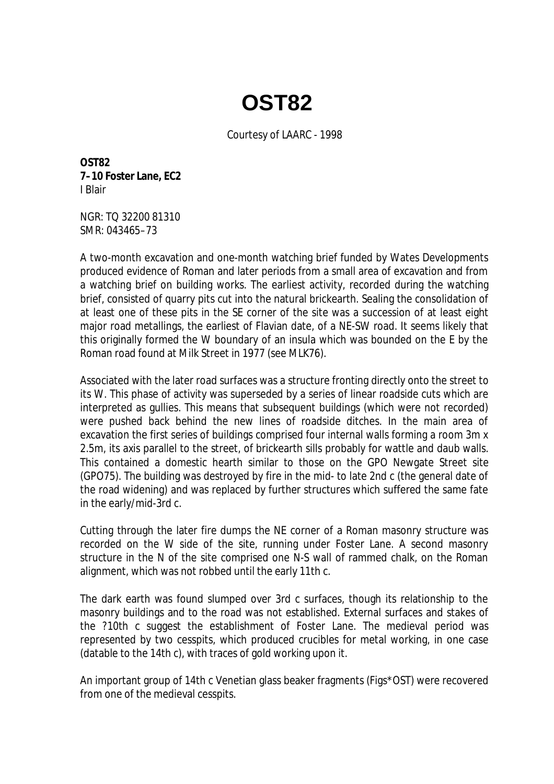## **OST82**

Courtesy of LAARC - 1998

**OST82 7–10 Foster Lane, EC2**  I Blair

NGR: TQ 32200 81310 SMR: 043465–73

A two-month excavation and one-month watching brief funded by Wates Developments produced evidence of Roman and later periods from a small area of excavation and from a watching brief on building works. The earliest activity, recorded during the watching brief, consisted of quarry pits cut into the natural brickearth. Sealing the consolidation of at least one of these pits in the SE corner of the site was a succession of at least eight major road metallings, the earliest of Flavian date, of a NE-SW road. It seems likely that this originally formed the W boundary of an insula which was bounded on the E by the Roman road found at Milk Street in 1977 (see MLK76).

Associated with the later road surfaces was a structure fronting directly onto the street to its W. This phase of activity was superseded by a series of linear roadside cuts which are interpreted as gullies. This means that subsequent buildings (which were not recorded) were pushed back behind the new lines of roadside ditches. In the main area of excavation the first series of buildings comprised four internal walls forming a room 3m x 2.5m, its axis parallel to the street, of brickearth sills probably for wattle and daub walls. This contained a domestic hearth similar to those on the GPO Newgate Street site (GPO75). The building was destroyed by fire in the mid- to late 2nd c (the general date of the road widening) and was replaced by further structures which suffered the same fate in the early/mid-3rd c.

Cutting through the later fire dumps the NE corner of a Roman masonry structure was recorded on the W side of the site, running under Foster Lane. A second masonry structure in the N of the site comprised one N-S wall of rammed chalk, on the Roman alignment, which was not robbed until the early 11th c.

The dark earth was found slumped over 3rd c surfaces, though its relationship to the masonry buildings and to the road was not established. External surfaces and stakes of the ?10th c suggest the establishment of Foster Lane. The medieval period was represented by two cesspits, which produced crucibles for metal working, in one case (datable to the 14th c), with traces of gold working upon it.

An important group of 14th c Venetian glass beaker fragments (Figs\*OST) were recovered from one of the medieval cesspits.